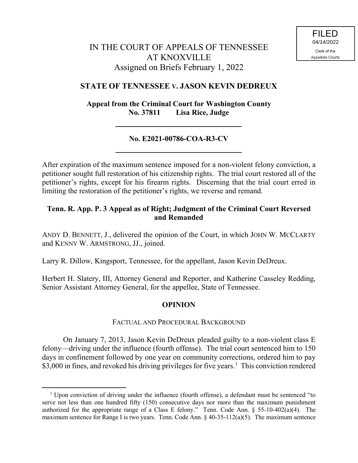# IN THE COURT OF APPEALS OF TENNESSEE AT KNOXVILLE Assigned on Briefs February 1, 2022

# **STATE OF TENNESSEE V. JASON KEVIN DEDREUX**

**Appeal from the Criminal Court for Washington County No. 37811 Lisa Rice, Judge**

# **No. E2021-00786-COA-R3-CV**

After expiration of the maximum sentence imposed for a non-violent felony conviction, a petitioner sought full restoration of his citizenship rights. The trial court restored all of the petitioner's rights, except for his firearm rights. Discerning that the trial court erred in limiting the restoration of the petitioner's rights, we reverse and remand.

### **Tenn. R. App. P. 3 Appeal as of Right; Judgment of the Criminal Court Reversed and Remanded**

ANDY D. BENNETT, J., delivered the opinion of the Court, in which JOHN W. MCCLARTY and KENNY W. ARMSTRONG, JJ., joined.

Larry R. Dillow, Kingsport, Tennessee, for the appellant, Jason Kevin DeDreux.

Herbert H. Slatery, III, Attorney General and Reporter, and Katherine Casseley Redding, Senior Assistant Attorney General, for the appellee, State of Tennessee.

### **OPINION**

### FACTUAL AND PROCEDURAL BACKGROUND

On January 7, 2013, Jason Kevin DeDreux pleaded guilty to a non-violent class E felony—driving under the influence (fourth offense). The trial court sentenced him to 150 days in confinement followed by one year on community corrections, ordered him to pay \$3,000 in fines, and revoked his driving privileges for five years.<sup>1</sup> This conviction rendered

 $1$  Upon conviction of driving under the influence (fourth offense), a defendant must be sentenced "to serve not less than one hundred fifty (150) consecutive days nor more than the maximum punishment authorized for the appropriate range of a Class E felony." Tenn. Code Ann. § 55-10-402(a)(4). The maximum sentence for Range I is two years. Tenn. Code Ann. § 40-35-112(a)(5). The maximum sentence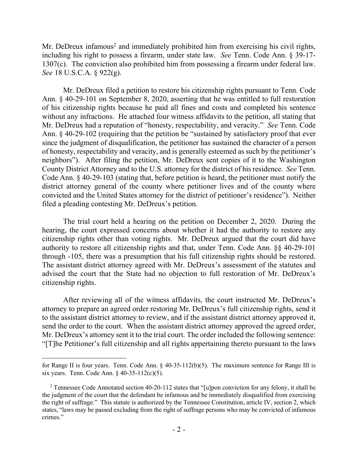Mr. DeDreux infamous<sup>2</sup> and immediately prohibited him from exercising his civil rights, including his right to possess a firearm, under state law. *See* Tenn. Code Ann. § 39-17- 1307(c). The conviction also prohibited him from possessing a firearm under federal law. *See* 18 U.S.C.A. § 922(g).

Mr. DeDreux filed a petition to restore his citizenship rights pursuant to Tenn. Code Ann. § 40-29-101 on September 8, 2020, asserting that he was entitled to full restoration of his citizenship rights because he paid all fines and costs and completed his sentence without any infractions. He attached four witness affidavits to the petition, all stating that Mr. DeDreux had a reputation of "honesty, respectability, and veracity." *See* Tenn. Code Ann. § 40-29-102 (requiring that the petition be "sustained by satisfactory proof that ever since the judgment of disqualification, the petitioner has sustained the character of a person of honesty, respectability and veracity, and is generally esteemed as such by the petitioner's neighbors"). After filing the petition, Mr. DeDreux sent copies of it to the Washington County District Attorney and to the U.S. attorney for the district of his residence. *See* Tenn. Code Ann. § 40-29-103 (stating that, before petition is heard, the petitioner must notify the district attorney general of the county where petitioner lives and of the county where convicted and the United States attorney for the district of petitioner's residence"). Neither filed a pleading contesting Mr. DeDreux's petition.

The trial court held a hearing on the petition on December 2, 2020. During the hearing, the court expressed concerns about whether it had the authority to restore any citizenship rights other than voting rights. Mr. DeDreux argued that the court did have authority to restore all citizenship rights and that, under Tenn. Code Ann. §§ 40-29-101 through -105, there was a presumption that his full citizenship rights should be restored. The assistant district attorney agreed with Mr. DeDreux's assessment of the statutes and advised the court that the State had no objection to full restoration of Mr. DeDreux's citizenship rights.

After reviewing all of the witness affidavits, the court instructed Mr. DeDreux's attorney to prepare an agreed order restoring Mr. DeDreux's full citizenship rights, send it to the assistant district attorney to review, and if the assistant district attorney approved it, send the order to the court. When the assistant district attorney approved the agreed order, Mr. DeDreux's attorney sent it to the trial court. The order included the following sentence: "[T]he Petitioner's full citizenship and all rights appertaining thereto pursuant to the laws

for Range II is four years. Tenn. Code Ann. § 40-35-112(b)(5). The maximum sentence for Range III is six years. Tenn. Code Ann. § 40-35-112(c)(5).

<sup>&</sup>lt;sup>2</sup> Tennessee Code Annotated section 40-20-112 states that "[u]pon conviction for any felony, it shall be the judgment of the court that the defendant be infamous and be immediately disqualified from exercising the right of suffrage." This statute is authorized by the Tennessee Constitution, article IV, section 2, which states, "laws may be passed excluding from the right of suffrage persons who may be convicted of infamous crimes."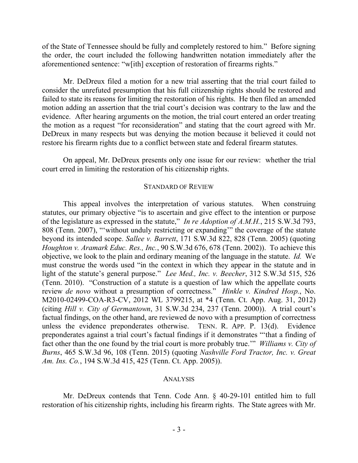of the State of Tennessee should be fully and completely restored to him." Before signing the order, the court included the following handwritten notation immediately after the aforementioned sentence: "w[ith] exception of restoration of firearms rights."

Mr. DeDreux filed a motion for a new trial asserting that the trial court failed to consider the unrefuted presumption that his full citizenship rights should be restored and failed to state its reasons for limiting the restoration of his rights. He then filed an amended motion adding an assertion that the trial court's decision was contrary to the law and the evidence. After hearing arguments on the motion, the trial court entered an order treating the motion as a request "for reconsideration" and stating that the court agreed with Mr. DeDreux in many respects but was denying the motion because it believed it could not restore his firearm rights due to a conflict between state and federal firearm statutes.

On appeal, Mr. DeDreux presents only one issue for our review: whether the trial court erred in limiting the restoration of his citizenship rights.

#### STANDARD OF REVIEW

This appeal involves the interpretation of various statutes. When construing statutes, our primary objective "is to ascertain and give effect to the intention or purpose of the legislature as expressed in the statute," *In re Adoption of A.M.H.*, 215 S.W.3d 793, 808 (Tenn. 2007), "'without unduly restricting or expanding'" the coverage of the statute beyond its intended scope. *Sallee v. Barrett*, 171 S.W.3d 822, 828 (Tenn. 2005) (quoting *Houghton v. Aramark Educ. Res., Inc.*, 90 S.W.3d 676, 678 (Tenn. 2002)). To achieve this objective, we look to the plain and ordinary meaning of the language in the statute. *Id.* We must construe the words used "in the context in which they appear in the statute and in light of the statute's general purpose." *Lee Med., Inc. v. Beecher*, 312 S.W.3d 515, 526 (Tenn. 2010). "Construction of a statute is a question of law which the appellate courts review *de novo* without a presumption of correctness." *Hinkle v. Kindred Hosp.*, No. M2010-02499-COA-R3-CV, 2012 WL 3799215, at \*4 (Tenn. Ct. App. Aug. 31, 2012) (citing *Hill v. City of Germantown*, 31 S.W.3d 234, 237 (Tenn. 2000)). A trial court's factual findings, on the other hand, are reviewed de novo with a presumption of correctness unless the evidence preponderates otherwise. TENN. R. APP. P. 13(d). Evidence preponderates against a trial court's factual findings if it demonstrates "'that a finding of fact other than the one found by the trial court is more probably true.'" *Williams v. City of Burns*, 465 S.W.3d 96, 108 (Tenn. 2015) (quoting *Nashville Ford Tractor, Inc. v. Great Am. Ins. Co.*, 194 S.W.3d 415, 425 (Tenn. Ct. App. 2005)).

#### ANALYSIS

Mr. DeDreux contends that Tenn. Code Ann. § 40-29-101 entitled him to full restoration of his citizenship rights, including his firearm rights. The State agrees with Mr.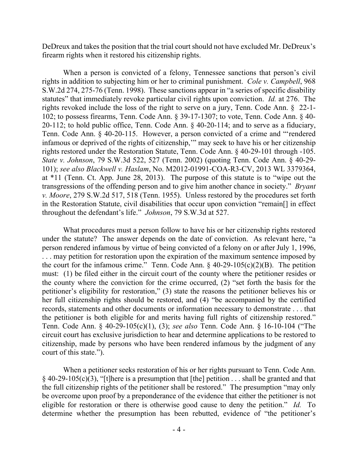DeDreux and takes the position that the trial court should not have excluded Mr. DeDreux's firearm rights when it restored his citizenship rights.

When a person is convicted of a felony, Tennessee sanctions that person's civil rights in addition to subjecting him or her to criminal punishment. *Cole v. Campbell*, 968 S.W.2d 274, 275-76 (Tenn. 1998). These sanctions appear in "a series of specific disability statutes" that immediately revoke particular civil rights upon conviction. *Id.* at 276. The rights revoked include the loss of the right to serve on a jury, Tenn. Code Ann. § 22-1- 102; to possess firearms, Tenn. Code Ann. § 39-17-1307; to vote, Tenn. Code Ann. § 40- 20-112; to hold public office, Tenn. Code Ann. § 40-20-114; and to serve as a fiduciary, Tenn. Code Ann. § 40-20-115. However, a person convicted of a crime and "'rendered infamous or deprived of the rights of citizenship,'" may seek to have his or her citizenship rights restored under the Restoration Statute, Tenn. Code Ann. § 40-29-101 through -105. *State v. Johnson*, 79 S.W.3d 522, 527 (Tenn. 2002) (quoting Tenn. Code Ann. § 40-29- 101); *see also Blackwell v. Haslam*, No. M2012-01991-COA-R3-CV, 2013 WL 3379364, at \*11 (Tenn. Ct. App. June 28, 2013). The purpose of this statute is to "wipe out the transgressions of the offending person and to give him another chance in society." *Bryant v. Moore*, 279 S.W.2d 517, 518 (Tenn. 1955). Unless restored by the procedures set forth in the Restoration Statute, civil disabilities that occur upon conviction "remain[] in effect throughout the defendant's life." *Johnson*, 79 S.W.3d at 527.

What procedures must a person follow to have his or her citizenship rights restored under the statute? The answer depends on the date of conviction. As relevant here, "a person rendered infamous by virtue of being convicted of a felony on or after July 1, 1996, ... may petition for restoration upon the expiration of the maximum sentence imposed by the court for the infamous crime." Tenn. Code Ann.  $\S$  40-29-105(c)(2)(B). The petition must: (1) be filed either in the circuit court of the county where the petitioner resides or the county where the conviction for the crime occurred, (2) "set forth the basis for the petitioner's eligibility for restoration," (3) state the reasons the petitioner believes his or her full citizenship rights should be restored, and (4) "be accompanied by the certified records, statements and other documents or information necessary to demonstrate . . . that the petitioner is both eligible for and merits having full rights of citizenship restored." Tenn. Code Ann. § 40-29-105(c)(1), (3); *see also* Tenn. Code Ann. § 16-10-104 ("The circuit court has exclusive jurisdiction to hear and determine applications to be restored to citizenship, made by persons who have been rendered infamous by the judgment of any court of this state.").

When a petitioner seeks restoration of his or her rights pursuant to Tenn. Code Ann.  $\S$  40-29-105(c)(3), "[t]here is a presumption that [the] petition . . . shall be granted and that the full citizenship rights of the petitioner shall be restored." The presumption "may only be overcome upon proof by a preponderance of the evidence that either the petitioner is not eligible for restoration or there is otherwise good cause to deny the petition." *Id.* To determine whether the presumption has been rebutted, evidence of "the petitioner's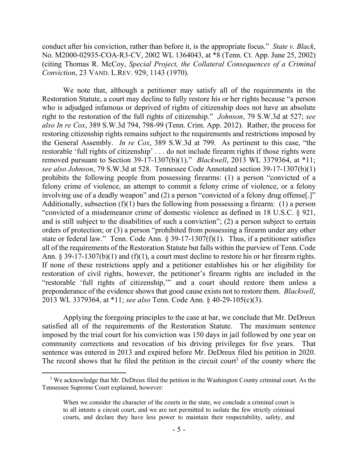conduct after his conviction, rather than before it, is the appropriate focus." *State v. Black*, No. M2000-02935-COA-R3-CV, 2002 WL 1364043, at \*8 (Tenn. Ct. App. June 25, 2002) (citing Thomas R. McCoy, *Special Project, the Collateral Consequences of a Criminal Conviction*, 23 VAND. L.REV. 929, 1143 (1970).

We note that, although a petitioner may satisfy all of the requirements in the Restoration Statute, a court may decline to fully restore his or her rights because "a person who is adjudged infamous or deprived of rights of citizenship does not have an absolute right to the restoration of the full rights of citizenship." *Johnson*, 79 S.W.3d at 527; *see also In re Cox*, 389 S.W.3d 794, 798-99 (Tenn. Crim. App. 2012). Rather, the process for restoring citizenship rights remains subject to the requirements and restrictions imposed by the General Assembly. *In re Cox*, 389 S.W.3d at 799. As pertinent to this case, "the restorable 'full rights of citizenship' . . . do not include firearm rights if those rights were removed pursuant to Section 39-17-1307(b)(1)." *Blackwell*, 2013 WL 3379364, at \*11; *see also Johnson*, 79 S.W.3d at 528. Tennessee Code Annotated section 39-17-1307(b)(1) prohibits the following people from possessing firearms: (1) a person "convicted of a felony crime of violence, an attempt to commit a felony crime of violence, or a felony involving use of a deadly weapon" and (2) a person "convicted of a felony drug offense[.]" Additionally, subsection  $(f)(1)$  bars the following from possessing a firearm: (1) a person "convicted of a misdemeanor crime of domestic violence as defined in 18 U.S.C. § 921, and is still subject to the disabilities of such a conviction"; (2) a person subject to certain orders of protection; or (3) a person "prohibited from possessing a firearm under any other state or federal law." Tenn. Code Ann. § 39-17-1307(f)(1). Thus, if a petitioner satisfies all of the requirements of the Restoration Statute but falls within the purview of Tenn. Code Ann. § 39-17-1307(b)(1) and (f)(1), a court must decline to restore his or her firearm rights. If none of these restrictions apply and a petitioner establishes his or her eligibility for restoration of civil rights, however, the petitioner's firearm rights are included in the "restorable 'full rights of citizenship,'" and a court should restore them unless a preponderance of the evidence shows that good cause exists not to restore them. *Blackwell*, 2013 WL 3379364, at \*11; *see also* Tenn. Code Ann. § 40-29-105(c)(3).

Applying the foregoing principles to the case at bar, we conclude that Mr. DeDreux satisfied all of the requirements of the Restoration Statute. The maximum sentence imposed by the trial court for his conviction was 150 days in jail followed by one year on community corrections and revocation of his driving privileges for five years. That sentence was entered in 2013 and expired before Mr. DeDreux filed his petition in 2020. The record shows that he filed the petition in the circuit court<sup>3</sup> of the county where the

<sup>&</sup>lt;sup>3</sup> We acknowledge that Mr. DeDreux filed the petition in the Washington County criminal court. As the Tennessee Supreme Court explained, however:

When we consider the character of the courts in the state, we conclude a criminal court is to all intents a circuit court, and we are not permitted to isolate the few strictly criminal courts, and declare they have less power to maintain their respectability, safety, and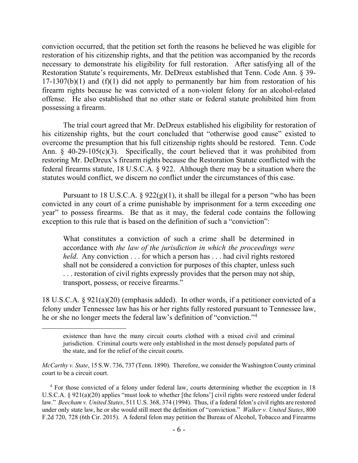conviction occurred, that the petition set forth the reasons he believed he was eligible for restoration of his citizenship rights, and that the petition was accompanied by the records necessary to demonstrate his eligibility for full restoration. After satisfying all of the Restoration Statute's requirements, Mr. DeDreux established that Tenn. Code Ann. § 39-  $17-1307(b)(1)$  and  $(f)(1)$  did not apply to permanently bar him from restoration of his firearm rights because he was convicted of a non-violent felony for an alcohol-related offense. He also established that no other state or federal statute prohibited him from possessing a firearm.

The trial court agreed that Mr. DeDreux established his eligibility for restoration of his citizenship rights, but the court concluded that "otherwise good cause" existed to overcome the presumption that his full citizenship rights should be restored. Tenn. Code Ann.  $\S$  40-29-105(c)(3). Specifically, the court believed that it was prohibited from restoring Mr. DeDreux's firearm rights because the Restoration Statute conflicted with the federal firearms statute, 18 U.S.C.A. § 922. Although there may be a situation where the statutes would conflict, we discern no conflict under the circumstances of this case.

Pursuant to 18 U.S.C.A.  $\S$  922(g)(1), it shall be illegal for a person "who has been convicted in any court of a crime punishable by imprisonment for a term exceeding one year" to possess firearms. Be that as it may, the federal code contains the following exception to this rule that is based on the definition of such a "conviction":

What constitutes a conviction of such a crime shall be determined in accordance with *the law of the jurisdiction in which the proceedings were held*. Any conviction . . . for which a person has . . . had civil rights restored shall not be considered a conviction for purposes of this chapter, unless such . . . restoration of civil rights expressly provides that the person may not ship, transport, possess, or receive firearms."

18 U.S.C.A. § 921(a)(20) (emphasis added). In other words, if a petitioner convicted of a felony under Tennessee law has his or her rights fully restored pursuant to Tennessee law, he or she no longer meets the federal law's definition of "conviction."<sup>4</sup>

existence than have the many circuit courts clothed with a mixed civil and criminal jurisdiction. Criminal courts were only established in the most densely populated parts of the state, and for the relief of the circuit courts.

*McCarthy v. State*, 15 S.W. 736, 737 (Tenn. 1890). Therefore, we consider the Washington County criminal court to be a circuit court.

<sup>&</sup>lt;sup>4</sup> For those convicted of a felony under federal law, courts determining whether the exception in 18 U.S.C.A. § 921(a)(20) applies "must look to whether [the felons'] civil rights were restored under federal law." *Beecham v. United States*, 511 U.S. 368, 374 (1994). Thus, if a federal felon's civil rights are restored under only state law, he or she would still meet the definition of "conviction." *Walker v. United States*, 800 F.2d 720, 728 (6th Cir. 2015). A federal felon may petition the Bureau of Alcohol, Tobacco and Firearms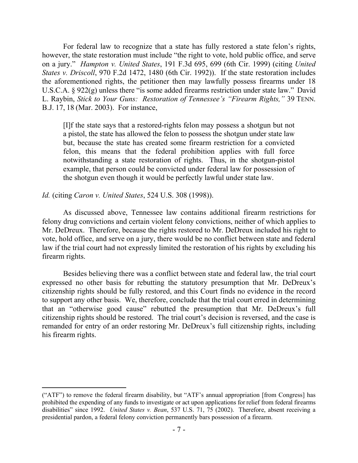For federal law to recognize that a state has fully restored a state felon's rights, however, the state restoration must include "the right to vote, hold public office, and serve on a jury." *Hampton v. United States*, 191 F.3d 695, 699 (6th Cir. 1999) (citing *United States v. Driscoll*, 970 F.2d 1472, 1480 (6th Cir. 1992)). If the state restoration includes the aforementioned rights, the petitioner then may lawfully possess firearms under 18 U.S.C.A. § 922(g) unless there "is some added firearms restriction under state law." David L. Raybin, *Stick to Your Guns: Restoration of Tennessee's "Firearm Rights,"* 39 TENN. B.J. 17, 18 (Mar. 2003). For instance,

[I]f the state says that a restored-rights felon may possess a shotgun but not a pistol, the state has allowed the felon to possess the shotgun under state law but, because the state has created some firearm restriction for a convicted felon, this means that the federal prohibition applies with full force notwithstanding a state restoration of rights. Thus, in the shotgun-pistol example, that person could be convicted under federal law for possession of the shotgun even though it would be perfectly lawful under state law.

*Id.* (citing *Caron v. United States*, 524 U.S. 308 (1998)).

 $\overline{a}$ 

As discussed above, Tennessee law contains additional firearm restrictions for felony drug convictions and certain violent felony convictions, neither of which applies to Mr. DeDreux. Therefore, because the rights restored to Mr. DeDreux included his right to vote, hold office, and serve on a jury, there would be no conflict between state and federal law if the trial court had not expressly limited the restoration of his rights by excluding his firearm rights.

Besides believing there was a conflict between state and federal law, the trial court expressed no other basis for rebutting the statutory presumption that Mr. DeDreux's citizenship rights should be fully restored, and this Court finds no evidence in the record to support any other basis. We, therefore, conclude that the trial court erred in determining that an "otherwise good cause" rebutted the presumption that Mr. DeDreux's full citizenship rights should be restored. The trial court's decision is reversed, and the case is remanded for entry of an order restoring Mr. DeDreux's full citizenship rights, including his firearm rights.

<sup>(&</sup>quot;ATF") to remove the federal firearm disability, but "ATF's annual appropriation [from Congress] has prohibited the expending of any funds to investigate or act upon applications for relief from federal firearms disabilities" since 1992. *United States v. Bean*, 537 U.S. 71, 75 (2002). Therefore, absent receiving a presidential pardon, a federal felony conviction permanently bars possession of a firearm.